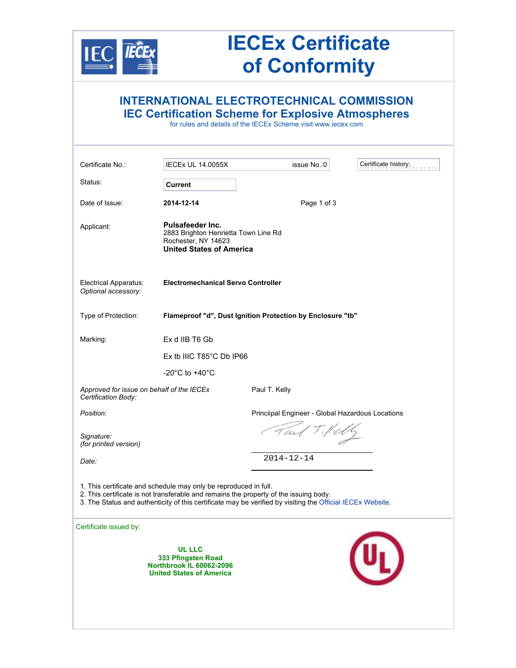

## **IECEx Certificate of Conformity**

|                                                                  |                                                                                                                                                           | <b>INTERNATIONAL ELECTROTECHNICAL COMMISSION</b><br><b>IEC Certification Scheme for Explosive Atmospheres</b><br>for rules and details of the IECEx Scheme visit www.iecex.com |                      |
|------------------------------------------------------------------|-----------------------------------------------------------------------------------------------------------------------------------------------------------|--------------------------------------------------------------------------------------------------------------------------------------------------------------------------------|----------------------|
| Certificate No.:                                                 | <b>IECEx UL 14.0055X</b>                                                                                                                                  | issue No.:0                                                                                                                                                                    | Certificate history: |
| Status:                                                          | <b>Current</b>                                                                                                                                            |                                                                                                                                                                                |                      |
| Date of Issue:                                                   | 2014-12-14                                                                                                                                                | Page 1 of 3                                                                                                                                                                    |                      |
| Applicant:                                                       | <b>Pulsafeeder Inc.</b><br>2883 Brighton Henrietta Town Line Rd<br>Rochester, NY 14623<br><b>United States of America</b>                                 |                                                                                                                                                                                |                      |
| Electrical Apparatus:<br>Optional accessory:                     | <b>Electromechanical Servo Controller</b>                                                                                                                 |                                                                                                                                                                                |                      |
| Type of Protection:                                              |                                                                                                                                                           | Flameproof "d", Dust Ignition Protection by Enclosure "tb"                                                                                                                     |                      |
| Marking:                                                         | Ex d IIB T6 Gb                                                                                                                                            |                                                                                                                                                                                |                      |
|                                                                  | Ex tb IIIC T85°C Db IP66                                                                                                                                  |                                                                                                                                                                                |                      |
|                                                                  | -20 $^{\circ}$ C to +40 $^{\circ}$ C                                                                                                                      |                                                                                                                                                                                |                      |
| Approved for issue on behalf of the IECEx<br>Certification Body: |                                                                                                                                                           | Paul T. Kelly                                                                                                                                                                  |                      |
| Position:                                                        |                                                                                                                                                           | Princiipal Engineer - Global Hazardous Locations                                                                                                                               |                      |
| Signature:<br>(for printed version)                              |                                                                                                                                                           | Tart Tille                                                                                                                                                                     |                      |
| Date:                                                            |                                                                                                                                                           | $2014 - 12 - 14$                                                                                                                                                               |                      |
|                                                                  | 1. This certificate and schedule may only be reproduced in full.<br>2. This certificate is not transferable and remains the property of the issuing body. | 3. The Status and authenticity of this certificate may be verified by visiting the Official IECEx Website.                                                                     |                      |
| Certificate issued by:                                           | <b>UL LLC</b><br>333 Pfingsten Road<br><b>Northbrook IL 60062-2096</b><br><b>United States of America</b>                                                 |                                                                                                                                                                                |                      |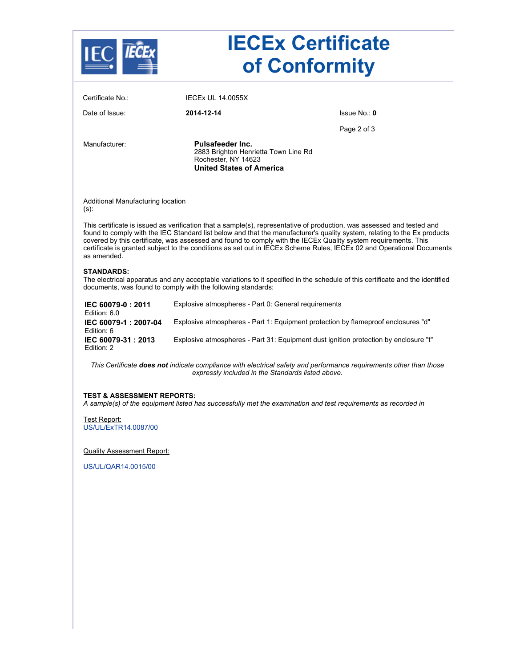| Certificate No.:<br><b>IECEX UL 14.0055X</b><br>Date of Issue:<br>2014-12-14<br>Is sue No.: 0<br>Page 2 of 3<br>Pulsafeeder Inc.<br>Manufacturer:<br>2883 Brighton Henrietta Town Line Rd<br>Rochester, NY 14623<br><b>United States of America</b><br>Additional Manufacturing location<br>$(s)$ :<br>This certificate is issued as verification that a sample(s), representative of production, was assessed and tested and<br>found to comply with the IEC Standard list below and that the manufacturer's quality system, relating to the Ex products<br>covered by this certificate, was assessed and found to comply with the IECEx Quality system requirements. This<br>certificate is granted subject to the conditions as set out in IECEx Scheme Rules, IECEx 02 and Operational Documents<br>as amended.<br><b>STANDARDS:</b><br>The electrical apparatus and any acceptable variations to it specified in the schedule of this certificate and the identified<br>documents, was found to comply with the following standards:<br>IEC 60079-0: 2011<br>Explosive atmospheres - Part 0: General requirements<br>Edition: 6.0<br>Explosive atmospheres - Part 1: Equipment protection by flameproof enclosures "d"<br>IEC 60079-1: 2007-04<br>Edition: 6<br>IEC 60079-31: 2013<br>Edition: 2<br>This Certificate does not indicate compliance with electrical safety and performance requirements other than those<br>expressly included in the Standards listed above.<br><b>TEST &amp; ASSESSMENT REPORTS:</b><br>A sample(s) of the equipment listed has successfully met the examination and test requirements as recorded in<br>Test Report:<br>US/UL/ExTR14.0087/00<br><b>Quality Assessment Report:</b><br>US/UL/QAR14.0015/00 |  |                                                                                      | <b>IECEx Certificate</b><br>of Conformity |  |
|------------------------------------------------------------------------------------------------------------------------------------------------------------------------------------------------------------------------------------------------------------------------------------------------------------------------------------------------------------------------------------------------------------------------------------------------------------------------------------------------------------------------------------------------------------------------------------------------------------------------------------------------------------------------------------------------------------------------------------------------------------------------------------------------------------------------------------------------------------------------------------------------------------------------------------------------------------------------------------------------------------------------------------------------------------------------------------------------------------------------------------------------------------------------------------------------------------------------------------------------------------------------------------------------------------------------------------------------------------------------------------------------------------------------------------------------------------------------------------------------------------------------------------------------------------------------------------------------------------------------------------------------------------------------------------------------------------------------------------------------|--|--------------------------------------------------------------------------------------|-------------------------------------------|--|
|                                                                                                                                                                                                                                                                                                                                                                                                                                                                                                                                                                                                                                                                                                                                                                                                                                                                                                                                                                                                                                                                                                                                                                                                                                                                                                                                                                                                                                                                                                                                                                                                                                                                                                                                                |  |                                                                                      |                                           |  |
|                                                                                                                                                                                                                                                                                                                                                                                                                                                                                                                                                                                                                                                                                                                                                                                                                                                                                                                                                                                                                                                                                                                                                                                                                                                                                                                                                                                                                                                                                                                                                                                                                                                                                                                                                |  |                                                                                      |                                           |  |
|                                                                                                                                                                                                                                                                                                                                                                                                                                                                                                                                                                                                                                                                                                                                                                                                                                                                                                                                                                                                                                                                                                                                                                                                                                                                                                                                                                                                                                                                                                                                                                                                                                                                                                                                                |  |                                                                                      |                                           |  |
|                                                                                                                                                                                                                                                                                                                                                                                                                                                                                                                                                                                                                                                                                                                                                                                                                                                                                                                                                                                                                                                                                                                                                                                                                                                                                                                                                                                                                                                                                                                                                                                                                                                                                                                                                |  |                                                                                      |                                           |  |
|                                                                                                                                                                                                                                                                                                                                                                                                                                                                                                                                                                                                                                                                                                                                                                                                                                                                                                                                                                                                                                                                                                                                                                                                                                                                                                                                                                                                                                                                                                                                                                                                                                                                                                                                                |  |                                                                                      |                                           |  |
|                                                                                                                                                                                                                                                                                                                                                                                                                                                                                                                                                                                                                                                                                                                                                                                                                                                                                                                                                                                                                                                                                                                                                                                                                                                                                                                                                                                                                                                                                                                                                                                                                                                                                                                                                |  |                                                                                      |                                           |  |
|                                                                                                                                                                                                                                                                                                                                                                                                                                                                                                                                                                                                                                                                                                                                                                                                                                                                                                                                                                                                                                                                                                                                                                                                                                                                                                                                                                                                                                                                                                                                                                                                                                                                                                                                                |  |                                                                                      |                                           |  |
|                                                                                                                                                                                                                                                                                                                                                                                                                                                                                                                                                                                                                                                                                                                                                                                                                                                                                                                                                                                                                                                                                                                                                                                                                                                                                                                                                                                                                                                                                                                                                                                                                                                                                                                                                |  |                                                                                      |                                           |  |
|                                                                                                                                                                                                                                                                                                                                                                                                                                                                                                                                                                                                                                                                                                                                                                                                                                                                                                                                                                                                                                                                                                                                                                                                                                                                                                                                                                                                                                                                                                                                                                                                                                                                                                                                                |  |                                                                                      |                                           |  |
|                                                                                                                                                                                                                                                                                                                                                                                                                                                                                                                                                                                                                                                                                                                                                                                                                                                                                                                                                                                                                                                                                                                                                                                                                                                                                                                                                                                                                                                                                                                                                                                                                                                                                                                                                |  | Explosive atmospheres - Part 31: Equipment dust ignition protection by enclosure "t" |                                           |  |
|                                                                                                                                                                                                                                                                                                                                                                                                                                                                                                                                                                                                                                                                                                                                                                                                                                                                                                                                                                                                                                                                                                                                                                                                                                                                                                                                                                                                                                                                                                                                                                                                                                                                                                                                                |  |                                                                                      |                                           |  |
|                                                                                                                                                                                                                                                                                                                                                                                                                                                                                                                                                                                                                                                                                                                                                                                                                                                                                                                                                                                                                                                                                                                                                                                                                                                                                                                                                                                                                                                                                                                                                                                                                                                                                                                                                |  |                                                                                      |                                           |  |
|                                                                                                                                                                                                                                                                                                                                                                                                                                                                                                                                                                                                                                                                                                                                                                                                                                                                                                                                                                                                                                                                                                                                                                                                                                                                                                                                                                                                                                                                                                                                                                                                                                                                                                                                                |  |                                                                                      |                                           |  |
|                                                                                                                                                                                                                                                                                                                                                                                                                                                                                                                                                                                                                                                                                                                                                                                                                                                                                                                                                                                                                                                                                                                                                                                                                                                                                                                                                                                                                                                                                                                                                                                                                                                                                                                                                |  |                                                                                      |                                           |  |
|                                                                                                                                                                                                                                                                                                                                                                                                                                                                                                                                                                                                                                                                                                                                                                                                                                                                                                                                                                                                                                                                                                                                                                                                                                                                                                                                                                                                                                                                                                                                                                                                                                                                                                                                                |  |                                                                                      |                                           |  |
|                                                                                                                                                                                                                                                                                                                                                                                                                                                                                                                                                                                                                                                                                                                                                                                                                                                                                                                                                                                                                                                                                                                                                                                                                                                                                                                                                                                                                                                                                                                                                                                                                                                                                                                                                |  |                                                                                      |                                           |  |
|                                                                                                                                                                                                                                                                                                                                                                                                                                                                                                                                                                                                                                                                                                                                                                                                                                                                                                                                                                                                                                                                                                                                                                                                                                                                                                                                                                                                                                                                                                                                                                                                                                                                                                                                                |  |                                                                                      |                                           |  |